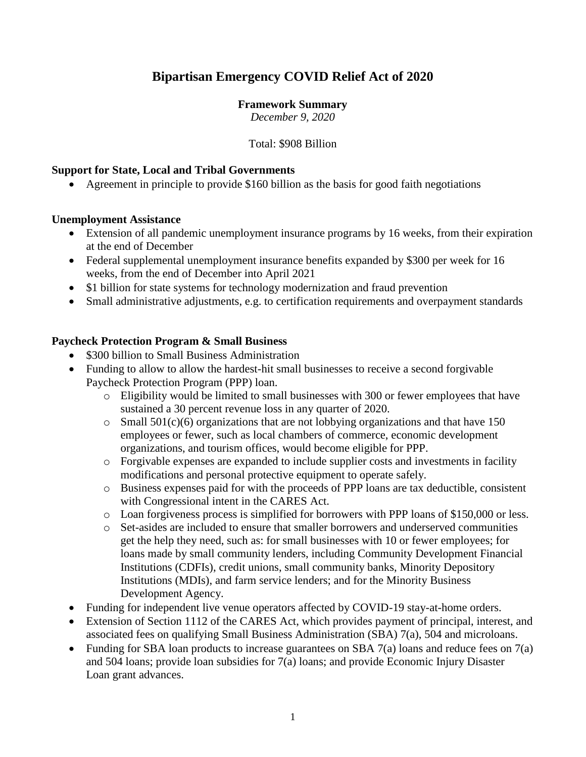# **Bipartisan Emergency COVID Relief Act of 2020**

#### **Framework Summary**

*December 9, 2020*

#### Total: \$908 Billion

#### **Support for State, Local and Tribal Governments**

Agreement in principle to provide \$160 billion as the basis for good faith negotiations

#### **Unemployment Assistance**

- Extension of all pandemic unemployment insurance programs by 16 weeks, from their expiration at the end of December
- Federal supplemental unemployment insurance benefits expanded by \$300 per week for 16 weeks, from the end of December into April 2021
- \$1 billion for state systems for technology modernization and fraud prevention
- Small administrative adjustments, e.g. to certification requirements and overpayment standards

#### **Paycheck Protection Program & Small Business**

- \$300 billion to Small Business Administration
- Funding to allow to allow the hardest-hit small businesses to receive a second forgivable Paycheck Protection Program (PPP) loan.
	- o Eligibility would be limited to small businesses with 300 or fewer employees that have sustained a 30 percent revenue loss in any quarter of 2020.
	- $\circ$  Small 501(c)(6) organizations that are not lobbying organizations and that have 150 employees or fewer, such as local chambers of commerce, economic development organizations, and tourism offices, would become eligible for PPP.
	- o Forgivable expenses are expanded to include supplier costs and investments in facility modifications and personal protective equipment to operate safely.
	- o Business expenses paid for with the proceeds of PPP loans are tax deductible, consistent with Congressional intent in the CARES Act.
	- o Loan forgiveness process is simplified for borrowers with PPP loans of \$150,000 or less.
	- o Set-asides are included to ensure that smaller borrowers and underserved communities get the help they need, such as: for small businesses with 10 or fewer employees; for loans made by small community lenders, including Community Development Financial Institutions (CDFIs), credit unions, small community banks, Minority Depository Institutions (MDIs), and farm service lenders; and for the Minority Business Development Agency.
- Funding for independent live venue operators affected by COVID-19 stay-at-home orders.
- Extension of Section 1112 of the CARES Act, which provides payment of principal, interest, and associated fees on qualifying Small Business Administration (SBA) 7(a), 504 and microloans.
- Funding for SBA loan products to increase guarantees on SBA  $7(a)$  loans and reduce fees on  $7(a)$ and 504 loans; provide loan subsidies for 7(a) loans; and provide Economic Injury Disaster Loan grant advances.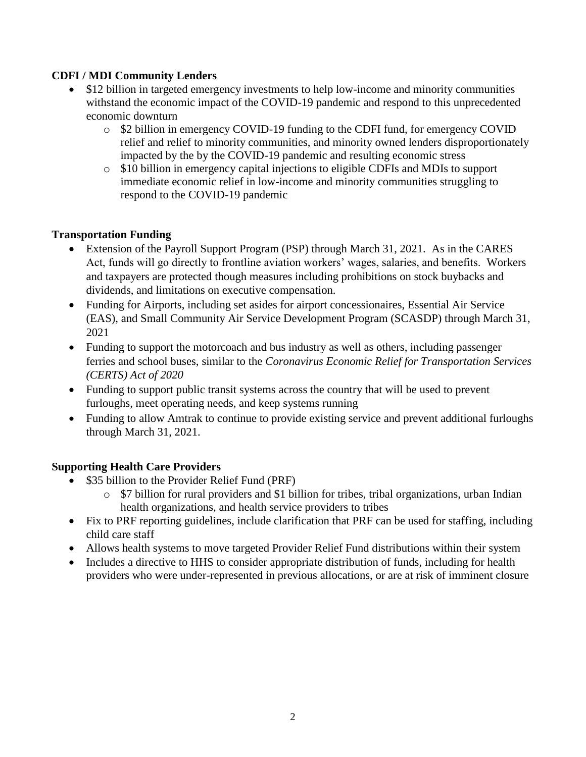# **CDFI / MDI Community Lenders**

- \$12 billion in targeted emergency investments to help low-income and minority communities withstand the economic impact of the COVID-19 pandemic and respond to this unprecedented economic downturn
	- o \$2 billion in emergency COVID-19 funding to the CDFI fund, for emergency COVID relief and relief to minority communities, and minority owned lenders disproportionately impacted by the by the COVID-19 pandemic and resulting economic stress
	- o \$10 billion in emergency capital injections to eligible CDFIs and MDIs to support immediate economic relief in low-income and minority communities struggling to respond to the COVID-19 pandemic

# **Transportation Funding**

- Extension of the Payroll Support Program (PSP) through March 31, 2021. As in the CARES Act, funds will go directly to frontline aviation workers' wages, salaries, and benefits. Workers and taxpayers are protected though measures including prohibitions on stock buybacks and dividends, and limitations on executive compensation.
- Funding for Airports, including set asides for airport concessionaires, Essential Air Service (EAS), and Small Community Air Service Development Program (SCASDP) through March 31, 2021
- Funding to support the motorcoach and bus industry as well as others, including passenger ferries and school buses, similar to the *Coronavirus Economic Relief for Transportation Services (CERTS) Act of 2020*
- Funding to support public transit systems across the country that will be used to prevent furloughs, meet operating needs, and keep systems running
- Funding to allow Amtrak to continue to provide existing service and prevent additional furloughs through March 31, 2021.

## **Supporting Health Care Providers**

- \$35 billion to the Provider Relief Fund (PRF)
	- o \$7 billion for rural providers and \$1 billion for tribes, tribal organizations, urban Indian health organizations, and health service providers to tribes
- Fix to PRF reporting guidelines, include clarification that PRF can be used for staffing, including child care staff
- Allows health systems to move targeted Provider Relief Fund distributions within their system
- Includes a directive to HHS to consider appropriate distribution of funds, including for health providers who were under-represented in previous allocations, or are at risk of imminent closure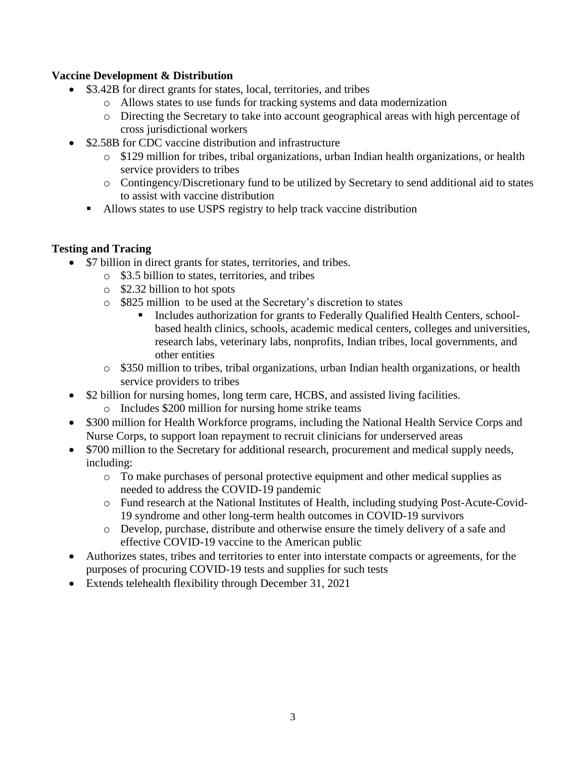## **Vaccine Development & Distribution**

- \$3.42B for direct grants for states, local, territories, and tribes
	- o Allows states to use funds for tracking systems and data modernization
	- o Directing the Secretary to take into account geographical areas with high percentage of cross jurisdictional workers
- \$2.58B for CDC vaccine distribution and infrastructure
	- o \$129 million for tribes, tribal organizations, urban Indian health organizations, or health service providers to tribes
	- o Contingency/Discretionary fund to be utilized by Secretary to send additional aid to states to assist with vaccine distribution
	- Allows states to use USPS registry to help track vaccine distribution

# **Testing and Tracing**

- \$7 billion in direct grants for states, territories, and tribes.
	- o \$3.5 billion to states, territories, and tribes
	- o \$2.32 billion to hot spots
	- o \$825 million to be used at the Secretary's discretion to states
		- **Includes authorization for grants to Federally Qualified Health Centers, school**based health clinics, schools, academic medical centers, colleges and universities, research labs, veterinary labs, nonprofits, Indian tribes, local governments, and other entities
	- o \$350 million to tribes, tribal organizations, urban Indian health organizations, or health service providers to tribes
- \$2 billion for nursing homes, long term care, HCBS, and assisted living facilities.
	- o Includes \$200 million for nursing home strike teams
- \$300 million for Health Workforce programs, including the National Health Service Corps and Nurse Corps, to support loan repayment to recruit clinicians for underserved areas
- \$700 million to the Secretary for additional research, procurement and medical supply needs, including:
	- o To make purchases of personal protective equipment and other medical supplies as needed to address the COVID-19 pandemic
	- o Fund research at the National Institutes of Health, including studying Post-Acute-Covid-19 syndrome and other long-term health outcomes in COVID-19 survivors
	- o Develop, purchase, distribute and otherwise ensure the timely delivery of a safe and effective COVID-19 vaccine to the American public
- Authorizes states, tribes and territories to enter into interstate compacts or agreements, for the purposes of procuring COVID-19 tests and supplies for such tests
- Extends telehealth flexibility through December 31, 2021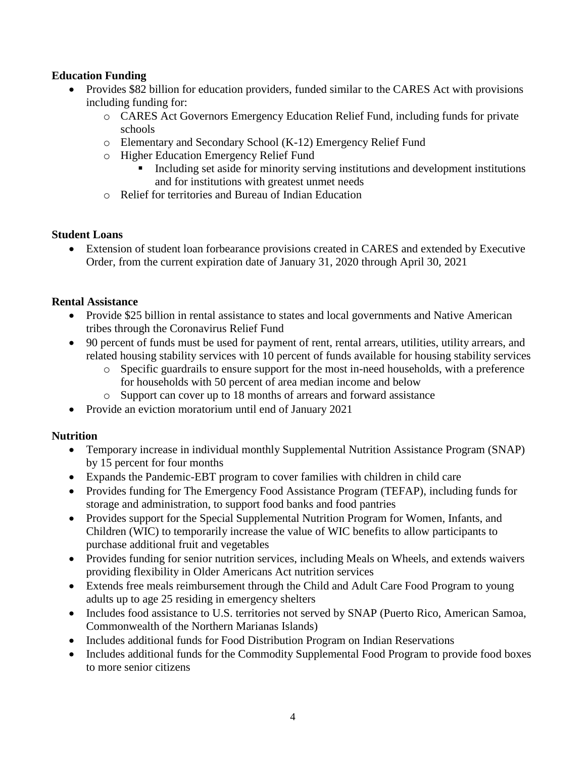# **Education Funding**

- Provides \$82 billion for education providers, funded similar to the CARES Act with provisions including funding for:
	- o CARES Act Governors Emergency Education Relief Fund, including funds for private schools
	- o Elementary and Secondary School (K-12) Emergency Relief Fund
	- o Higher Education Emergency Relief Fund
		- Including set aside for minority serving institutions and development institutions and for institutions with greatest unmet needs
	- o Relief for territories and Bureau of Indian Education

#### **Student Loans**

 Extension of student loan forbearance provisions created in CARES and extended by Executive Order, from the current expiration date of January 31, 2020 through April 30, 2021

#### **Rental Assistance**

- Provide \$25 billion in rental assistance to states and local governments and Native American tribes through the Coronavirus Relief Fund
- 90 percent of funds must be used for payment of rent, rental arrears, utilities, utility arrears, and related housing stability services with 10 percent of funds available for housing stability services
	- o Specific guardrails to ensure support for the most in-need households, with a preference for households with 50 percent of area median income and below
	- o Support can cover up to 18 months of arrears and forward assistance
- Provide an eviction moratorium until end of January 2021

## **Nutrition**

- Temporary increase in individual monthly Supplemental Nutrition Assistance Program (SNAP) by 15 percent for four months
- Expands the Pandemic-EBT program to cover families with children in child care
- Provides funding for The Emergency Food Assistance Program (TEFAP), including funds for storage and administration, to support food banks and food pantries
- Provides support for the Special Supplemental Nutrition Program for Women, Infants, and Children (WIC) to temporarily increase the value of WIC benefits to allow participants to purchase additional fruit and vegetables
- Provides funding for senior nutrition services, including Meals on Wheels, and extends waivers providing flexibility in Older Americans Act nutrition services
- Extends free meals reimbursement through the Child and Adult Care Food Program to young adults up to age 25 residing in emergency shelters
- Includes food assistance to U.S. territories not served by SNAP (Puerto Rico, American Samoa, Commonwealth of the Northern Marianas Islands)
- Includes additional funds for Food Distribution Program on Indian Reservations
- Includes additional funds for the Commodity Supplemental Food Program to provide food boxes to more senior citizens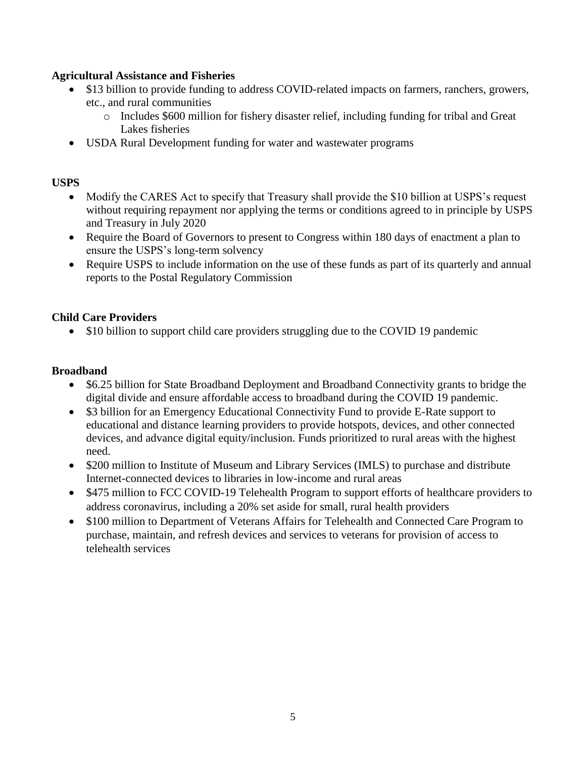## **Agricultural Assistance and Fisheries**

- \$13 billion to provide funding to address COVID-related impacts on farmers, ranchers, growers, etc., and rural communities
	- o Includes \$600 million for fishery disaster relief, including funding for tribal and Great Lakes fisheries
- USDA Rural Development funding for water and wastewater programs

## **USPS**

- Modify the CARES Act to specify that Treasury shall provide the \$10 billion at USPS's request without requiring repayment nor applying the terms or conditions agreed to in principle by USPS and Treasury in July 2020
- Require the Board of Governors to present to Congress within 180 days of enactment a plan to ensure the USPS's long-term solvency
- Require USPS to include information on the use of these funds as part of its quarterly and annual reports to the Postal Regulatory Commission

#### **Child Care Providers**

• \$10 billion to support child care providers struggling due to the COVID 19 pandemic

#### **Broadband**

- \$6.25 billion for State Broadband Deployment and Broadband Connectivity grants to bridge the digital divide and ensure affordable access to broadband during the COVID 19 pandemic.
- \$3 billion for an Emergency Educational Connectivity Fund to provide E-Rate support to educational and distance learning providers to provide hotspots, devices, and other connected devices, and advance digital equity/inclusion. Funds prioritized to rural areas with the highest need.
- \$200 million to Institute of Museum and Library Services (IMLS) to purchase and distribute Internet-connected devices to libraries in low-income and rural areas
- \$475 million to FCC COVID-19 Telehealth Program to support efforts of healthcare providers to address coronavirus, including a 20% set aside for small, rural health providers
- \$100 million to Department of Veterans Affairs for Telehealth and Connected Care Program to purchase, maintain, and refresh devices and services to veterans for provision of access to telehealth services